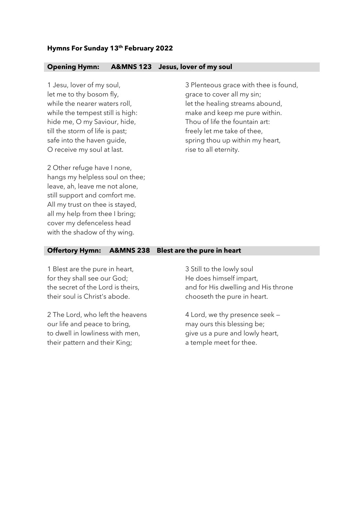## **Hymns For Sunday 13th February 2022**

## **Opening Hymn: A&MNS 123 Jesus, lover of my soul**

1 Jesu, lover of my soul, let me to thy bosom fly, while the nearer waters roll, while the tempest still is high: hide me, O my Saviour, hide, till the storm of life is past; safe into the haven guide, O receive my soul at last.

3 Plenteous grace with thee is found, grace to cover all my sin; let the healing streams abound, make and keep me pure within. Thou of life the fountain art: freely let me take of thee, spring thou up within my heart, rise to all eternity.

2 Other refuge have I none, hangs my helpless soul on thee; leave, ah, leave me not alone, still support and comfort me. All my trust on thee is stayed, all my help from thee I bring; cover my defenceless head with the shadow of thy wing.

## **Offertory Hymn: A&MNS 238 Blest are the pure in heart**

1 Blest are the pure in heart, for they shall see our God; the secret of the Lord is theirs, their soul is Christ's abode.

2 The Lord, who left the heavens our life and peace to bring, to dwell in lowliness with men, their pattern and their King;

3 Still to the lowly soul He does himself impart, and for His dwelling and His throne chooseth the pure in heart.

4 Lord, we thy presence seek may ours this blessing be; give us a pure and lowly heart, a temple meet for thee.